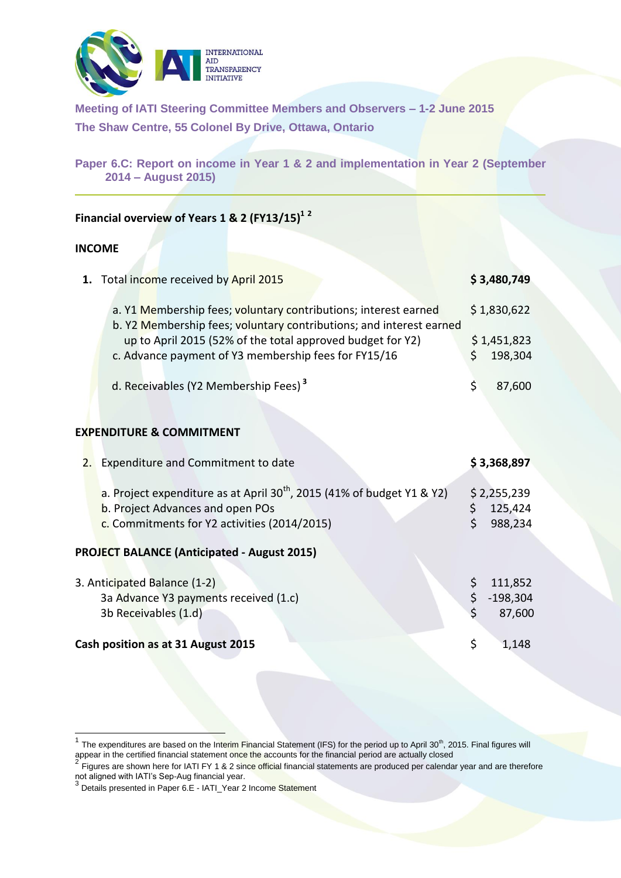

**Meeting of IATI Steering Committee Members and Observers – 1-2 June 2015 The Shaw Centre, 55 Colonel By Drive, Ottawa, Ontario**

**Paper 6.C: Report on income in Year 1 & 2 and implementation in Year 2 (September 2014 – August 2015)**

## **Financial overview of Years 1 & 2 (FY13/15)<sup>1</sup> <sup>2</sup>**

## **INCOME**

-

| \$1,830,622<br>a. Y1 Membership fees; voluntary contributions; interest earned<br>b. Y2 Membership fees; voluntary contributions; and interest earned<br>up to April 2015 (52% of the total approved budget for Y2)<br>\$1,451,823<br>c. Advance payment of Y3 membership fees for FY15/16<br>\$.<br>d. Receivables (Y2 Membership Fees) <sup>3</sup><br>\$<br><b>EXPENDITURE &amp; COMMITMENT</b><br>2. Expenditure and Commitment to date<br>\$3,368,897<br>a. Project expenditure as at April 30 <sup>th</sup> , 2015 (41% of budget Y1 & Y2)<br>\$2,255,239<br>b. Project Advances and open POs<br>\$<br>$\mathsf{S}$<br>c. Commitments for Y2 activities (2014/2015)<br><b>PROJECT BALANCE (Anticipated - August 2015)</b><br>\$<br>3. Anticipated Balance (1-2)<br>\$<br>3a Advance Y3 payments received (1.c)<br>3b Receivables (1.d)<br>\$<br>Cash position as at 31 August 2015 | 1. Total income received by April 2015 | \$3,480,749                     |
|------------------------------------------------------------------------------------------------------------------------------------------------------------------------------------------------------------------------------------------------------------------------------------------------------------------------------------------------------------------------------------------------------------------------------------------------------------------------------------------------------------------------------------------------------------------------------------------------------------------------------------------------------------------------------------------------------------------------------------------------------------------------------------------------------------------------------------------------------------------------------------------|----------------------------------------|---------------------------------|
|                                                                                                                                                                                                                                                                                                                                                                                                                                                                                                                                                                                                                                                                                                                                                                                                                                                                                          |                                        |                                 |
|                                                                                                                                                                                                                                                                                                                                                                                                                                                                                                                                                                                                                                                                                                                                                                                                                                                                                          |                                        | 198,304                         |
|                                                                                                                                                                                                                                                                                                                                                                                                                                                                                                                                                                                                                                                                                                                                                                                                                                                                                          |                                        | 87,600                          |
|                                                                                                                                                                                                                                                                                                                                                                                                                                                                                                                                                                                                                                                                                                                                                                                                                                                                                          |                                        |                                 |
|                                                                                                                                                                                                                                                                                                                                                                                                                                                                                                                                                                                                                                                                                                                                                                                                                                                                                          |                                        |                                 |
|                                                                                                                                                                                                                                                                                                                                                                                                                                                                                                                                                                                                                                                                                                                                                                                                                                                                                          |                                        | 125,424<br>988,234              |
|                                                                                                                                                                                                                                                                                                                                                                                                                                                                                                                                                                                                                                                                                                                                                                                                                                                                                          |                                        |                                 |
|                                                                                                                                                                                                                                                                                                                                                                                                                                                                                                                                                                                                                                                                                                                                                                                                                                                                                          |                                        | 111,852<br>$-198,304$<br>87,600 |
|                                                                                                                                                                                                                                                                                                                                                                                                                                                                                                                                                                                                                                                                                                                                                                                                                                                                                          |                                        | 1,148                           |

<sup>1</sup> The expenditures are based on the Interim Financial Statement (IFS) for the period up to April 30<sup>th</sup>, 2015. Final figures will appear in the certified financial statement once the accounts for the financial period are actually closed<br> $2$  Figures are about hard for LCL EV 4.8.2 since official financial at the party on another durant period of

Figures are shown here for IATI FY 1 & 2 since official financial statements are produced per calendar year and are therefore

not aligned with IATI's Sep-Aug financial year.<br><sup>3</sup> Details presented in Paper 6.E - IATI\_Year 2 Income Statement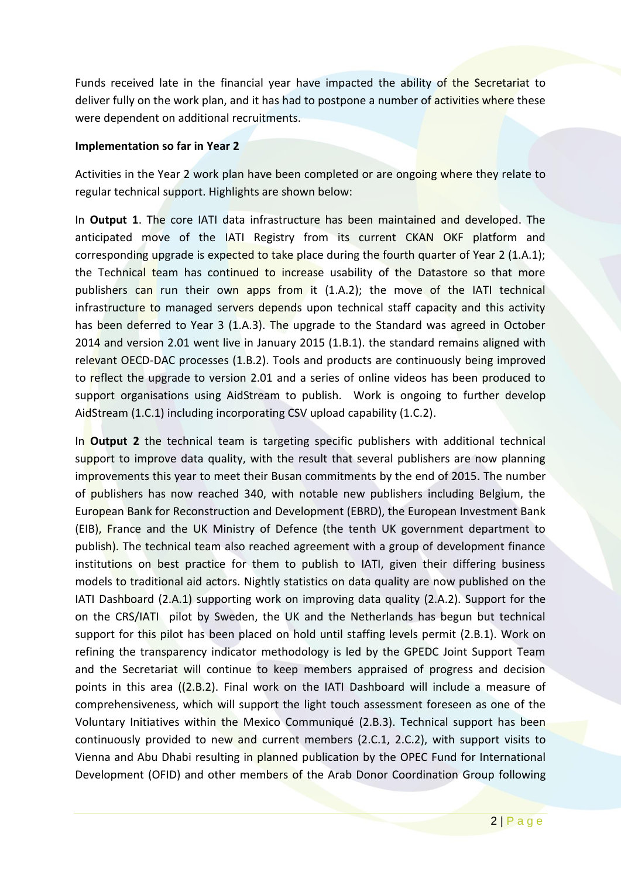Funds received late in the financial year have impacted the ability of the Secretariat to deliver fully on the work plan, and it has had to postpone a number of activities where these were dependent on additional recruitments.

## **Implementation so far in Year 2**

Activities in the Year 2 work plan have been completed or are ongoing where they relate to regular technical support. Highlights are shown below:

In **Output 1**. The core IATI data infrastructure has been maintained and developed. The anticipated move of the IATI Registry from its current CKAN OKF platform and corresponding upgrade is expected to take place during the fourth quarter of Year 2 (1.A.1); the Technical team has continued to increase usability of the Datastore so that more publishers can run their own apps from it (1.A.2); the move of the IATI technical infrastructure to managed servers depends upon technical staff capacity and this activity has been deferred to Year 3 (1.A.3). The upgrade to the Standard was agreed in October 2014 and version 2.01 went live in January 2015 (1.B.1). the standard remains aligned with relevant OECD-DAC processes (1.B.2). Tools and products are continuously being improved to reflect the upgrade to version 2.01 and a series of online videos has been produced to support organisations using AidStream to publish. Work is ongoing to further develop AidStream (1.C.1) including incorporating CSV upload capability (1.C.2).

In **Output 2** the technical team is targeting specific publishers with additional technical support to improve data quality, with the result that several publishers are now planning improvements this year to meet their Busan commitments by the end of 2015. The number of publishers has now reached 340, with notable new publishers including Belgium, the European Bank for Reconstruction and Development (EBRD), the European Investment Bank (EIB), France and the UK Ministry of Defence (the tenth UK government department to publish). The technical team also reached agreement with a group of development finance institutions on best practice for them to publish to IATI, given their differing business models to traditional aid actors. Nightly statistics on data quality are now published on the IATI Dashboard (2.A.1) supporting work on improving data quality (2.A.2). Support for the on the CRS/IATI pilot by Sweden, the UK and the Netherlands has begun but technical support for this pilot has been placed on hold until staffing levels permit (2.B.1). Work on refining the transparency indicator methodology is led by the GPEDC Joint Support Team and the Secretariat will continue to keep members appraised of progress and decision points in this area ((2.B.2). Final work on the IATI Dashboard will include a measure of comprehensiveness, which will support the light touch assessment foreseen as one of the Voluntary Initiatives within the Mexico Communiqué (2.B.3). Technical support has been continuously provided to new and current members (2.C.1, 2.C.2), with support visits to Vienna and Abu Dhabi resulting in planned publication by the OPEC Fund for International Development (OFID) and other members of the Arab Donor Coordination Group following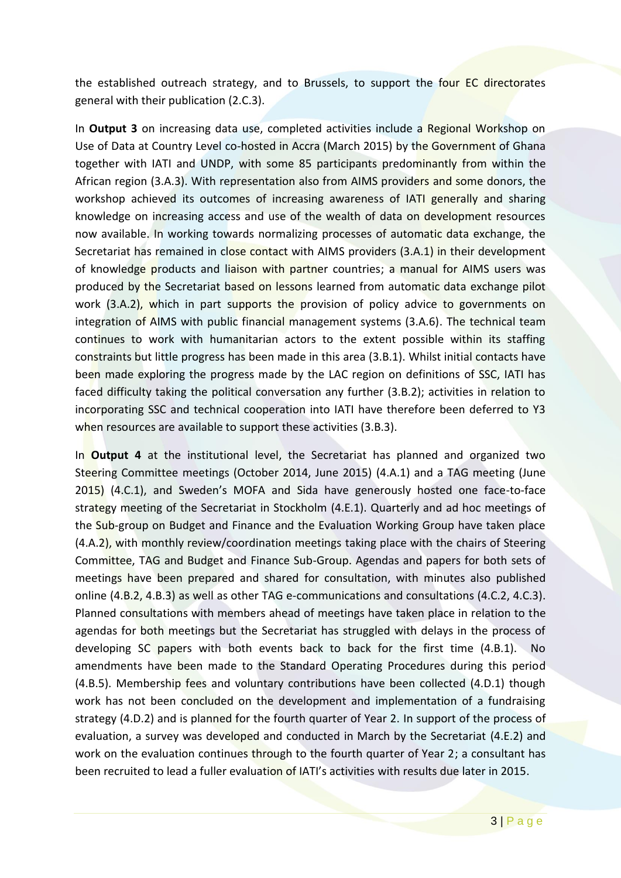the established outreach strategy, and to Brussels, to support the four EC directorates general with their publication (2.C.3).

In **Output 3** on increasing data use, completed activities include a Regional Workshop on Use of Data at Country Level co-hosted in Accra (March 2015) by the Government of Ghana together with IATI and UNDP, with some 85 participants predominantly from within the African region (3.A.3). With representation also from AIMS providers and some donors, the workshop achieved its outcomes of increasing awareness of IATI generally and sharing knowledge on increasing access and use of the wealth of data on development resources now available. In working towards normalizing processes of automatic data exchange, the Secretariat has remained in close contact with AIMS providers (3.A.1) in their development of knowledge products and liaison with partner countries; a manual for AIMS users was produced by the Secretariat based on lessons learned from automatic data exchange pilot work (3.A.2), which in part supports the provision of policy advice to governments on integration of AIMS with public financial management systems (3.A.6). The technical team continues to work with humanitarian actors to the extent possible within its staffing constraints but little progress has been made in this area (3.B.1). Whilst initial contacts have been made exploring the progress made by the LAC region on definitions of SSC, IATI has faced difficulty taking the political conversation any further (3.B.2); activities in relation to incorporating SSC and technical cooperation into IATI have therefore been deferred to Y3 when resources are available to support these activities (3.B.3).

In **Output 4** at the institutional level, the Secretariat has planned and organized two Steering Committee meetings (October 2014, June 2015) (4.A.1) and a TAG meeting (June 2015) (4.C.1), and Sweden's MOFA and Sida have generously hosted one face-to-face strategy meeting of the Secretariat in Stockholm (4.E.1). Quarterly and ad hoc meetings of the Sub-group on Budget and Finance and the Evaluation Working Group have taken place (4.A.2), with monthly review/coordination meetings taking place with the chairs of Steering Committee, TAG and Budget and Finance Sub-Group. Agendas and papers for both sets of meetings have been prepared and shared for consultation, with minutes also published online (4.B.2, 4.B.3) as well as other TAG e-communications and consultations (4.C.2, 4.C.3). Planned consultations with members ahead of meetings have taken place in relation to the agendas for both meetings but the Secretariat has struggled with delays in the process of developing SC papers with both events back to back for the first time (4.B.1). No amendments have been made to the Standard Operating Procedures during this period (4.B.5). Membership fees and voluntary contributions have been collected (4.D.1) though work has not been concluded on the development and implementation of a fundraising strategy (4.D.2) and is planned for the fourth quarter of Year 2. In support of the process of evaluation, a survey was developed and conducted in March by the Secretariat (4.E.2) and work on the evaluation continues through to the fourth quarter of Year 2; a consultant has been recruited to lead a fuller evaluation of IATI's activities with results due later in 2015.